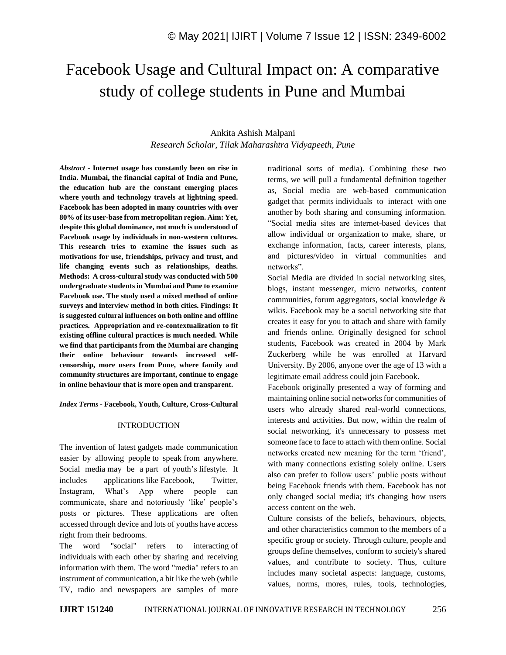# Facebook Usage and Cultural Impact on: A comparative study of college students in Pune and Mumbai

# Ankita Ashish Malpani *Research Scholar, Tilak Maharashtra Vidyapeeth, Pune*

*Abstract -* **Internet usage has constantly been on rise in India. Mumbai, the financial capital of India and Pune, the education hub are the constant emerging places where youth and technology travels at lightning speed. Facebook has been adopted in many countries with over 80% of its user-base from metropolitan region. Aim: Yet, despite this global dominance, not much is understood of Facebook usage by individuals in non-western cultures. This research tries to examine the issues such as motivations for use, friendships, privacy and trust, and life changing events such as relationships, deaths. Methods: A cross-cultural study was conducted with 500 undergraduate students in Mumbai and Pune to examine Facebook use. The study used a mixed method of online surveys and interview method in both cities. Findings: It is suggested cultural influences on both online and offline practices. Appropriation and re-contextualization to fit existing offline cultural practices is much needed. While we find that participants from the Mumbai are changing their online behaviour towards increased selfcensorship, more users from Pune, where family and community structures are important, continue to engage in online behaviour that is more open and transparent.**

*Index Terms -* **Facebook, Youth, Culture, Cross-Cultural**

#### INTRODUCTION

The invention of latest gadgets made communication easier by allowing people to speak from anywhere. Social media may be a part of youth's lifestyle. It includes applications like Facebook, Twitter, Instagram, What's App where people can communicate, share and notoriously 'like' people's posts or pictures. These applications are often accessed through device and lots of youths have access right from their bedrooms.

The word "social" refers to interacting of individuals with each other by sharing and receiving information with them. The word "media" refers to an instrument of communication, a bit like the web (while TV, radio and newspapers are samples of more traditional sorts of media). Combining these two terms, we will pull a fundamental definition together as, Social media are web-based communication gadget that permits individuals to interact with one another by both sharing and consuming information. "Social media sites are internet-based devices that allow individual or organization to make, share, or exchange information, facts, career interests, plans, and pictures/video in virtual communities and networks".

Social Media are divided in social networking sites, blogs, instant messenger, micro networks, content communities, forum aggregators, social knowledge & wikis. Facebook may be a social networking site that creates it easy for you to attach and share with family and friends online. Originally designed for school students, Facebook was created in 2004 by Mark Zuckerberg while he was enrolled at Harvard University. By 2006, anyone over the age of 13 with a legitimate email address could join Facebook.

Facebook originally presented a way of forming and maintaining online social networks for communities of users who already shared real-world connections, interests and activities. But now, within the realm of social networking, it's unnecessary to possess met someone face to face to attach with them online. Social networks created new meaning for the term 'friend', with many connections existing solely online. Users also can prefer to follow users' public posts without being Facebook friends with them. Facebook has not only changed social media; it's changing how users access content on the web.

Culture consists of the beliefs, behaviours, objects, and other characteristics common to the members of a specific group or society. Through culture, people and groups define themselves, conform to society's shared values, and contribute to society. Thus, culture includes many societal aspects: language, customs, values, norms, mores, rules, tools, technologies,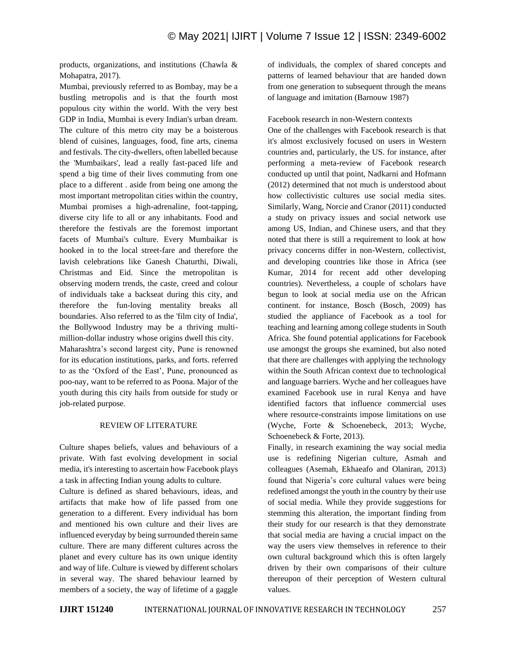products, organizations, and institutions (Chawla & Mohapatra, 2017).

Mumbai, previously referred to as Bombay, may be a bustling metropolis and is that the fourth most populous city within the world. With the very best GDP in India, Mumbai is every Indian's urban dream. The culture of this metro city may be a boisterous blend of cuisines, languages, food, fine arts, cinema and festivals. The city-dwellers, often labelled because the 'Mumbaikars', lead a really fast-paced life and spend a big time of their lives commuting from one place to a different . aside from being one among the most important metropolitan cities within the country, Mumbai promises a high-adrenaline, foot-tapping, diverse city life to all or any inhabitants. Food and therefore the festivals are the foremost important facets of Mumbai's culture. Every Mumbaikar is hooked in to the local street-fare and therefore the lavish celebrations like Ganesh Chaturthi, Diwali, Christmas and Eid. Since the metropolitan is observing modern trends, the caste, creed and colour of individuals take a backseat during this city, and therefore the fun-loving mentality breaks all boundaries. Also referred to as the 'film city of India', the Bollywood Industry may be a thriving multimillion-dollar industry whose origins dwell this city. Maharashtra's second largest city, Pune is renowned for its education institutions, parks, and forts. referred to as the 'Oxford of the East', Pune, pronounced as poo-nay, want to be referred to as Poona. Major of the youth during this city hails from outside for study or job-related purpose.

# REVIEW OF LITERATURE

Culture shapes beliefs, values and behaviours of a private. With fast evolving development in social media, it's interesting to ascertain how Facebook plays a task in affecting Indian young adults to culture.

Culture is defined as shared behaviours, ideas, and artifacts that make how of life passed from one generation to a different. Every individual has born and mentioned his own culture and their lives are influenced everyday by being surrounded therein same culture. There are many different cultures across the planet and every culture has its own unique identity and way of life. Culture is viewed by different scholars in several way. The shared behaviour learned by members of a society, the way of lifetime of a gaggle of individuals, the complex of shared concepts and patterns of learned behaviour that are handed down from one generation to subsequent through the means of language and imitation (Barnouw 1987)

# Facebook research in non-Western contexts

One of the challenges with Facebook research is that it's almost exclusively focused on users in Western countries and, particularly, the US. for instance, after performing a meta-review of Facebook research conducted up until that point, Nadkarni and Hofmann (2012) determined that not much is understood about how collectivistic cultures use social media sites. Similarly, Wang, Norcie and Cranor (2011) conducted a study on privacy issues and social network use among US, Indian, and Chinese users, and that they noted that there is still a requirement to look at how privacy concerns differ in non-Western, collectivist, and developing countries like those in Africa (see Kumar, 2014 for recent add other developing countries). Nevertheless, a couple of scholars have begun to look at social media use on the African continent. for instance, Bosch (Bosch, 2009) has studied the appliance of Facebook as a tool for teaching and learning among college students in South Africa. She found potential applications for Facebook use amongst the groups she examined, but also noted that there are challenges with applying the technology within the South African context due to technological and language barriers. Wyche and her colleagues have examined Facebook use in rural Kenya and have identified factors that influence commercial uses where resource-constraints impose limitations on use (Wyche, Forte & Schoenebeck, 2013; Wyche, Schoenebeck & Forte, 2013).

Finally, in research examining the way social media use is redefining Nigerian culture, Asmah and colleagues (Asemah, Ekhaeafo and Olaniran, 2013) found that Nigeria's core cultural values were being redefined amongst the youth in the country by their use of social media. While they provide suggestions for stemming this alteration, the important finding from their study for our research is that they demonstrate that social media are having a crucial impact on the way the users view themselves in reference to their own cultural background which this is often largely driven by their own comparisons of their culture thereupon of their perception of Western cultural values.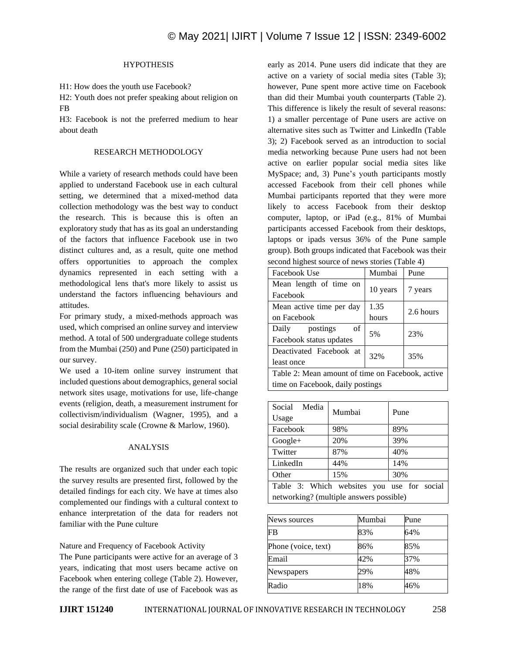# **HYPOTHESIS**

H1: How does the youth use Facebook?

H2: Youth does not prefer speaking about religion on FB

H3: Facebook is not the preferred medium to hear about death

#### RESEARCH METHODOLOGY

While a variety of research methods could have been applied to understand Facebook use in each cultural setting, we determined that a mixed-method data collection methodology was the best way to conduct the research. This is because this is often an exploratory study that has as its goal an understanding of the factors that influence Facebook use in two distinct cultures and, as a result, quite one method offers opportunities to approach the complex dynamics represented in each setting with a methodological lens that's more likely to assist us understand the factors influencing behaviours and attitudes.

For primary study, a mixed-methods approach was used, which comprised an online survey and interview method. A total of 500 undergraduate college students from the Mumbai (250) and Pune (250) participated in our survey.

We used a 10-item online survey instrument that included questions about demographics, general social network sites usage, motivations for use, life-change events (religion, death, a measurement instrument for collectivism/individualism (Wagner, 1995), and a social desirability scale (Crowne & Marlow, 1960).

#### ANALYSIS

The results are organized such that under each topic the survey results are presented first, followed by the detailed findings for each city. We have at times also complemented our findings with a cultural context to enhance interpretation of the data for readers not familiar with the Pune culture

Nature and Frequency of Facebook Activity

The Pune participants were active for an average of 3 years, indicating that most users became active on Facebook when entering college (Table 2). However, the range of the first date of use of Facebook was as early as 2014. Pune users did indicate that they are active on a variety of social media sites (Table 3); however, Pune spent more active time on Facebook than did their Mumbai youth counterparts (Table 2). This difference is likely the result of several reasons: 1) a smaller percentage of Pune users are active on alternative sites such as Twitter and LinkedIn (Table 3); 2) Facebook served as an introduction to social media networking because Pune users had not been active on earlier popular social media sites like MySpace; and, 3) Pune's youth participants mostly accessed Facebook from their cell phones while Mumbai participants reported that they were more likely to access Facebook from their desktop computer, laptop, or iPad (e.g., 81% of Mumbai participants accessed Facebook from their desktops, laptops or ipads versus 36% of the Pune sample group). Both groups indicated that Facebook was their second highest source of news stories (Table 4)

| Facebook Use                                     | Mumbai   | Pune      |
|--------------------------------------------------|----------|-----------|
| Mean length of time on<br>Facebook               | 10 years | 7 years   |
| Mean active time per day                         | 1.35     | 2.6 hours |
| on Facebook                                      | hours    |           |
| Daily postings<br>of<br>Facebook status updates  | 5%       | 23%       |
| Deactivated Facebook at<br>least once            | 32%      | 35%       |
| Table 2: Mean amount of time on Facebook, active |          |           |
| time on Facebook, daily postings                 |          |           |

| Social Media<br>Usage                      | Mumbai | Pune |
|--------------------------------------------|--------|------|
| Facebook                                   | 98%    | 89%  |
| Google+                                    | 20%    | 39%  |
| Twitter                                    | 87%    | 40%  |
| LinkedIn                                   | 44%    | 14%  |
| Other                                      | 15%    | 30%  |
| Table 3: Which websites you use for social |        |      |
| networking? (multiple answers possible)    |        |      |

| News sources        | Mumbai | Pune |
|---------------------|--------|------|
| <b>FB</b>           | 83%    | 64%  |
| Phone (voice, text) | 86%    | 85%  |
| Email               | 42%    | 37%  |
| Newspapers          | 29%    | 48%  |
| Radio               | 18%    | 46%  |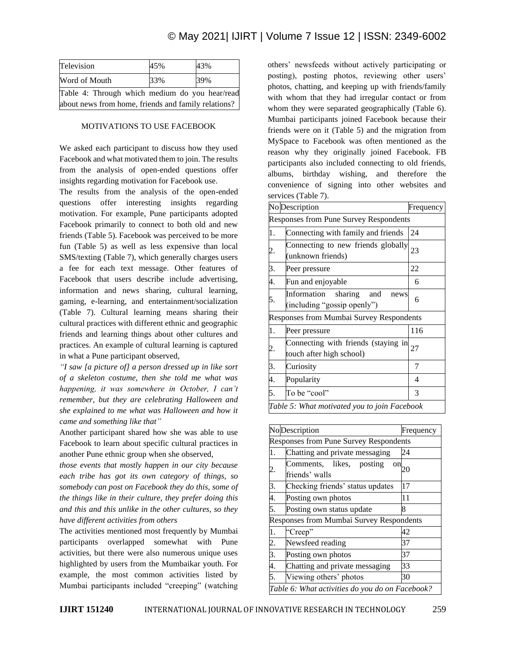# © May 2021| IJIRT | Volume 7 Issue 12 | ISSN: 2349-6002

| Television                                          | 45% | 43% |  |
|-----------------------------------------------------|-----|-----|--|
| Word of Mouth                                       | 33% | 39% |  |
| Table 4: Through which medium do you hear/read      |     |     |  |
| about news from home, friends and family relations? |     |     |  |

#### MOTIVATIONS TO USE FACEBOOK

We asked each participant to discuss how they used Facebook and what motivated them to join. The results from the analysis of open-ended questions offer insights regarding motivation for Facebook use.

The results from the analysis of the open-ended questions offer interesting insights regarding motivation. For example, Pune participants adopted Facebook primarily to connect to both old and new friends (Table 5). Facebook was perceived to be more fun (Table 5) as well as less expensive than local SMS/texting (Table 7), which generally charges users a fee for each text message. Other features of Facebook that users describe include advertising, information and news sharing, cultural learning, gaming, e-learning, and entertainment/socialization (Table 7). Cultural learning means sharing their cultural practices with different ethnic and geographic friends and learning things about other cultures and practices. An example of cultural learning is captured in what a Pune participant observed,

*"I saw [a picture of] a person dressed up in like sort of a skeleton costume, then she told me what was happening, it was somewhere in October, I can't remember, but they are celebrating Halloween and she explained to me what was Halloween and how it came and something like that"*

Another participant shared how she was able to use Facebook to learn about specific cultural practices in another Pune ethnic group when she observed,

*those events that mostly happen in our city because each tribe has got its own category of things, so somebody can post on Facebook they do this, some of the things like in their culture, they prefer doing this and this and this unlike in the other cultures, so they have different activities from others*

The activities mentioned most frequently by Mumbai participants overlapped somewhat with Pune activities, but there were also numerous unique uses highlighted by users from the Mumbaikar youth. For example, the most common activities listed by Mumbai participants included "creeping" (watching others' newsfeeds without actively participating or posting), posting photos, reviewing other users' photos, chatting, and keeping up with friends/family with whom that they had irregular contact or from whom they were separated geographically (Table 6). Mumbai participants joined Facebook because their friends were on it (Table 5) and the migration from MySpace to Facebook was often mentioned as the reason why they originally joined Facebook. FB participants also included connecting to old friends, albums, birthday wishing, and therefore the convenience of signing into other websites and services (Table 7).

|    | No Description                                                       | Frequency |
|----|----------------------------------------------------------------------|-----------|
|    | Responses from Pune Survey Respondents                               |           |
| 1. | Connecting with family and friends                                   | 24        |
| 2. | Connecting to new friends globally<br>(unknown friends)              | 23        |
| 3. | Peer pressure                                                        | 22        |
| 4. | Fun and enjoyable                                                    | 6         |
| 5. | Information<br>sharing<br>and<br>news<br>(including "gossip openly") | 6         |
|    | <b>Responses from Mumbai Survey Respondents</b>                      |           |
| 1. | Peer pressure                                                        | 116       |
| 2. | Connecting with friends (staying in<br>touch after high school)      | 27        |
| 3. | Curiosity                                                            | 7         |
| 4. | Popularity                                                           | 4         |
| 5. | To be "cool"                                                         | 3         |
|    | Table 5: What motivated you to join Facebook                         |           |

| <b>No</b> Description<br>Frequency              |                                                                              |    |  |
|-------------------------------------------------|------------------------------------------------------------------------------|----|--|
|                                                 | <b>Responses from Pune Survey Respondents</b>                                |    |  |
| 1.                                              | Chatting and private messaging                                               | 24 |  |
| 2.                                              | Comments, likes,<br>posting<br>$\overline{\text{on}}_{20}$<br>friends' walls |    |  |
| 3.                                              | Checking friends' status updates                                             | 17 |  |
| 4.                                              | Posting own photos                                                           | 11 |  |
| 5.                                              | Posting own status update                                                    | 8  |  |
| <b>Responses from Mumbai Survey Respondents</b> |                                                                              |    |  |
| 1.                                              | "Creep"                                                                      | 42 |  |
| 2.                                              | Newsfeed reading                                                             | 37 |  |
| $\overline{3}$ .                                | Posting own photos                                                           | 37 |  |
| 4.                                              | Chatting and private messaging                                               | 33 |  |
| 5.                                              | Viewing others' photos                                                       | 30 |  |
| Table 6: What activities do you do on Facebook? |                                                                              |    |  |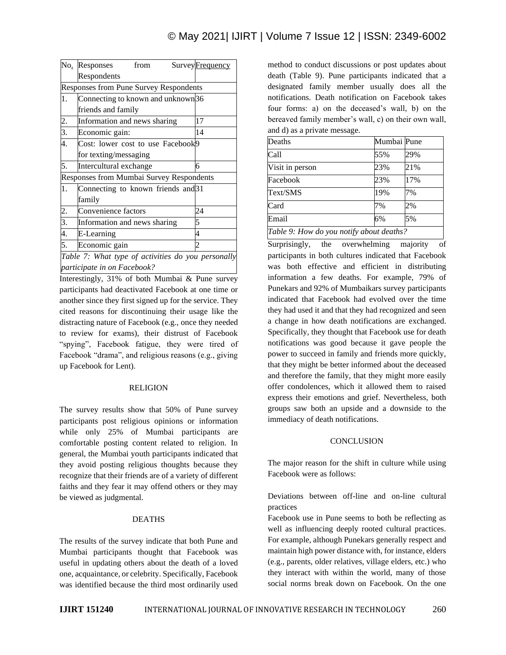|    | No. Responses<br>from                              |  | <b>Survey</b> Frequency |
|----|----------------------------------------------------|--|-------------------------|
|    | Respondents                                        |  |                         |
|    | <b>Responses from Pune Survey Respondents</b>      |  |                         |
| 1. | Connecting to known and unknown <sup>36</sup>      |  |                         |
|    | friends and family                                 |  |                         |
| 2. | Information and news sharing                       |  | 17                      |
| 3. | Economic gain:                                     |  | 14                      |
| 4. | Cost: lower cost to use Facebook9                  |  |                         |
|    | for texting/messaging                              |  |                         |
| 5. | Intercultural exchange                             |  | б                       |
|    | Responses from Mumbai Survey Respondents           |  |                         |
| 1. | Connecting to known friends and 31                 |  |                         |
|    | family                                             |  |                         |
| 2. | Convenience factors                                |  | 24                      |
| 3. | Information and news sharing                       |  | 5                       |
| 4. | E-Learning                                         |  | 4                       |
| 5. | Economic gain                                      |  |                         |
|    | Table 7: What type of activities do you personally |  |                         |

*Table 7: What type of activities do you personally participate in on Facebook?*

Interestingly, 31% of both Mumbai & Pune survey participants had deactivated Facebook at one time or another since they first signed up for the service. They cited reasons for discontinuing their usage like the distracting nature of Facebook (e.g., once they needed to review for exams), their distrust of Facebook "spying", Facebook fatigue, they were tired of Facebook "drama", and religious reasons (e.g., giving up Facebook for Lent).

# RELIGION

The survey results show that 50% of Pune survey participants post religious opinions or information while only 25% of Mumbai participants are comfortable posting content related to religion. In general, the Mumbai youth participants indicated that they avoid posting religious thoughts because they recognize that their friends are of a variety of different faiths and they fear it may offend others or they may be viewed as judgmental.

# DEATHS

The results of the survey indicate that both Pune and Mumbai participants thought that Facebook was useful in updating others about the death of a loved one, acquaintance, or celebrity. Specifically, Facebook was identified because the third most ordinarily used

method to conduct discussions or post updates about death (Table 9). Pune participants indicated that a designated family member usually does all the notifications. Death notification on Facebook takes four forms: a) on the deceased's wall, b) on the bereaved family member's wall, c) on their own wall, and d) as a private message.

| Deaths                                   | Mumbai Pune |     |
|------------------------------------------|-------------|-----|
| Call                                     | 55%         | 29% |
| Visit in person                          | 23%         | 21% |
| Facebook                                 | 23%         | 17% |
| Text/SMS                                 | 19%         | 7%  |
| Card                                     | 7%          | 2%  |
| Email                                    | 6%          | 5%  |
| Table 9: How do you notify about deaths? |             |     |

Surprisingly, the overwhelming majority of participants in both cultures indicated that Facebook was both effective and efficient in distributing information a few deaths. For example, 79% of Punekars and 92% of Mumbaikars survey participants indicated that Facebook had evolved over the time they had used it and that they had recognized and seen a change in how death notifications are exchanged. Specifically, they thought that Facebook use for death notifications was good because it gave people the power to succeed in family and friends more quickly, that they might be better informed about the deceased and therefore the family, that they might more easily offer condolences, which it allowed them to raised express their emotions and grief. Nevertheless, both groups saw both an upside and a downside to the immediacy of death notifications.

# **CONCLUSION**

The major reason for the shift in culture while using Facebook were as follows:

Deviations between off-line and on-line cultural practices

Facebook use in Pune seems to both be reflecting as well as influencing deeply rooted cultural practices. For example, although Punekars generally respect and maintain high power distance with, for instance, elders (e.g., parents, older relatives, village elders, etc.) who they interact with within the world, many of those social norms break down on Facebook. On the one